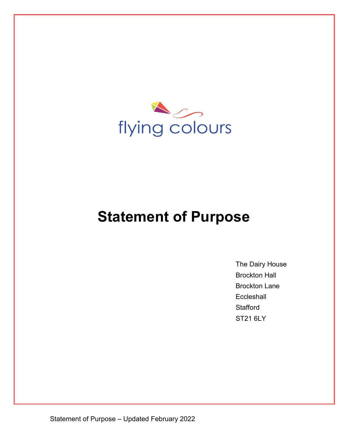

# **Statement of Purpose**

The Dairy House Brockton Hall Brockton Lane **Eccleshall Stafford** ST21 6LY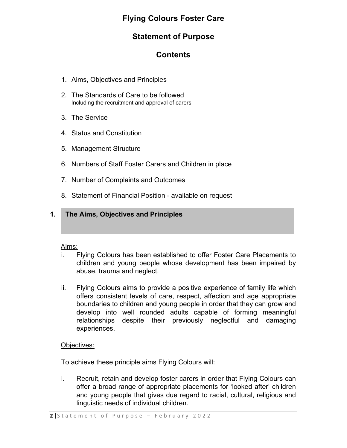# **Flying Colours Foster Care**

# **Statement of Purpose**

# **Contents**

- 1. Aims, Objectives and Principles
- 2. The Standards of Care to be followed Including the recruitment and approval of carers
- 3. The Service
- 4. Status and Constitution
- 5. Management Structure
- 6. Numbers of Staff Foster Carers and Children in place
- 7. Number of Complaints and Outcomes
- 8. Statement of Financial Position available on request

# **1. The Aims, Objectives and Principles**

### Aims:

- i. Flying Colours has been established to offer Foster Care Placements to children and young people whose development has been impaired by abuse, trauma and neglect.
- ii. Flying Colours aims to provide a positive experience of family life which offers consistent levels of care, respect, affection and age appropriate boundaries to children and young people in order that they can grow and develop into well rounded adults capable of forming meaningful relationships despite their previously neglectful and damaging experiences.

## Objectives:

To achieve these principle aims Flying Colours will:

i. Recruit, retain and develop foster carers in order that Flying Colours can offer a broad range of appropriate placements for 'looked after' children and young people that gives due regard to racial, cultural, religious and linguistic needs of individual children.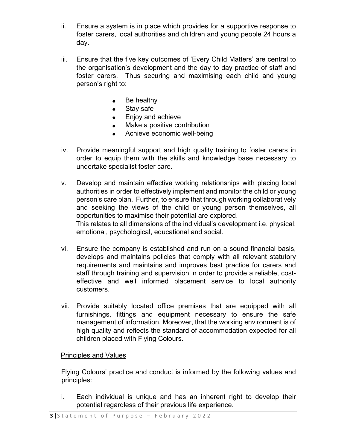- ii. Ensure a system is in place which provides for a supportive response to foster carers, local authorities and children and young people 24 hours a day.
- iii. Ensure that the five key outcomes of 'Every Child Matters' are central to the organisation's development and the day to day practice of staff and foster carers. Thus securing and maximising each child and young person's right to:
	- Be healthy  $\bullet$
	- Stay safe  $\bullet$
	- Enjoy and achieve  $\bullet$
	- Make a positive contribution
	- Achieve economic well-being  $\bullet$
- iv. Provide meaningful support and high quality training to foster carers in order to equip them with the skills and knowledge base necessary to undertake specialist foster care.
- v. Develop and maintain effective working relationships with placing local authorities in order to effectively implement and monitor the child or young person's care plan. Further, to ensure that through working collaboratively and seeking the views of the child or young person themselves, all opportunities to maximise their potential are explored. This relates to all dimensions of the individual's development i.e. physical, emotional, psychological, educational and social.
- vi. Ensure the company is established and run on a sound financial basis, develops and maintains policies that comply with all relevant statutory requirements and maintains and improves best practice for carers and staff through training and supervision in order to provide a reliable, costeffective and well informed placement service to local authority customers.
- vii. Provide suitably located office premises that are equipped with all furnishings, fittings and equipment necessary to ensure the safe management of information. Moreover, that the working environment is of high quality and reflects the standard of accommodation expected for all children placed with Flying Colours.

# Principles and Values

Flying Colours' practice and conduct is informed by the following values and principles:

i. Each individual is unique and has an inherent right to develop their potential regardless of their previous life experience.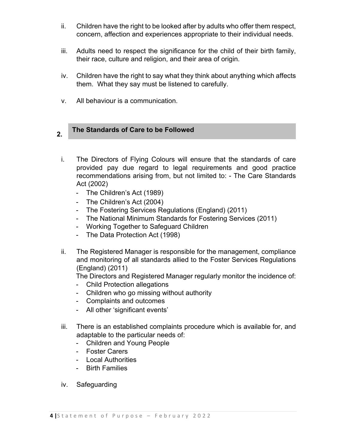- ii. Children have the right to be looked after by adults who offer them respect, concern, affection and experiences appropriate to their individual needs.
- iii. Adults need to respect the significance for the child of their birth family, their race, culture and religion, and their area of origin.
- iv. Children have the right to say what they think about anything which affects them. What they say must be listened to carefully.
- v. All behaviour is a communication.

#### **2. The Standards of Care to be Followed**

- i. The Directors of Flying Colours will ensure that the standards of care provided pay due regard to legal requirements and good practice recommendations arising from, but not limited to: - The Care Standards Act (2002)
	- The Children's Act (1989)
	- The Children's Act (2004)
	- The Fostering Services Regulations (England) (2011)
	- The National Minimum Standards for Fostering Services (2011)
	- Working Together to Safeguard Children
	- The Data Protection Act (1998)
- ii. The Registered Manager is responsible for the management, compliance and monitoring of all standards allied to the Foster Services Regulations (England) (2011)

The Directors and Registered Manager regularly monitor the incidence of:

- Child Protection allegations
- Children who go missing without authority
- Complaints and outcomes
- All other 'significant events'
- iii. There is an established complaints procedure which is available for, and adaptable to the particular needs of:
	- Children and Young People
	- Foster Carers
	- Local Authorities
	- Birth Families
- iv. Safeguarding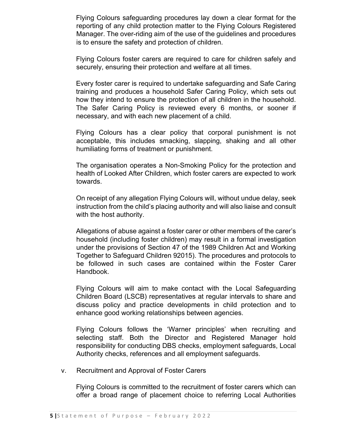Flying Colours safeguarding procedures lay down a clear format for the reporting of any child protection matter to the Flying Colours Registered Manager. The over-riding aim of the use of the guidelines and procedures is to ensure the safety and protection of children.

Flying Colours foster carers are required to care for children safely and securely, ensuring their protection and welfare at all times.

Every foster carer is required to undertake safeguarding and Safe Caring training and produces a household Safer Caring Policy, which sets out how they intend to ensure the protection of all children in the household. The Safer Caring Policy is reviewed every 6 months, or sooner if necessary, and with each new placement of a child.

Flying Colours has a clear policy that corporal punishment is not acceptable, this includes smacking, slapping, shaking and all other humiliating forms of treatment or punishment.

The organisation operates a Non-Smoking Policy for the protection and health of Looked After Children, which foster carers are expected to work towards.

On receipt of any allegation Flying Colours will, without undue delay, seek instruction from the child's placing authority and will also liaise and consult with the host authority.

Allegations of abuse against a foster carer or other members of the carer's household (including foster children) may result in a formal investigation under the provisions of Section 47 of the 1989 Children Act and Working Together to Safeguard Children 92015). The procedures and protocols to be followed in such cases are contained within the Foster Carer Handbook.

Flying Colours will aim to make contact with the Local Safeguarding Children Board (LSCB) representatives at regular intervals to share and discuss policy and practice developments in child protection and to enhance good working relationships between agencies.

Flying Colours follows the 'Warner principles' when recruiting and selecting staff. Both the Director and Registered Manager hold responsibility for conducting DBS checks, employment safeguards, Local Authority checks, references and all employment safeguards.

v. Recruitment and Approval of Foster Carers

Flying Colours is committed to the recruitment of foster carers which can offer a broad range of placement choice to referring Local Authorities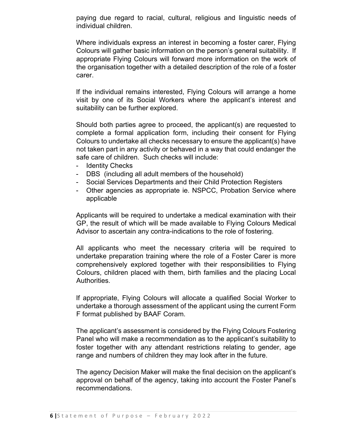paying due regard to racial, cultural, religious and linguistic needs of individual children.

Where individuals express an interest in becoming a foster carer, Flying Colours will gather basic information on the person's general suitability. If appropriate Flying Colours will forward more information on the work of the organisation together with a detailed description of the role of a foster carer.

If the individual remains interested, Flying Colours will arrange a home visit by one of its Social Workers where the applicant's interest and suitability can be further explored.

Should both parties agree to proceed, the applicant(s) are requested to complete a formal application form, including their consent for Flying Colours to undertake all checks necessary to ensure the applicant(s) have not taken part in any activity or behaved in a way that could endanger the safe care of children. Such checks will include:

- Identity Checks
- DBS (including all adult members of the household)
- Social Services Departments and their Child Protection Registers
- Other agencies as appropriate ie. NSPCC, Probation Service where applicable

Applicants will be required to undertake a medical examination with their GP, the result of which will be made available to Flying Colours Medical Advisor to ascertain any contra-indications to the role of fostering.

All applicants who meet the necessary criteria will be required to undertake preparation training where the role of a Foster Carer is more comprehensively explored together with their responsibilities to Flying Colours, children placed with them, birth families and the placing Local Authorities.

If appropriate, Flying Colours will allocate a qualified Social Worker to undertake a thorough assessment of the applicant using the current Form F format published by BAAF Coram.

The applicant's assessment is considered by the Flying Colours Fostering Panel who will make a recommendation as to the applicant's suitability to foster together with any attendant restrictions relating to gender, age range and numbers of children they may look after in the future.

The agency Decision Maker will make the final decision on the applicant's approval on behalf of the agency, taking into account the Foster Panel's recommendations.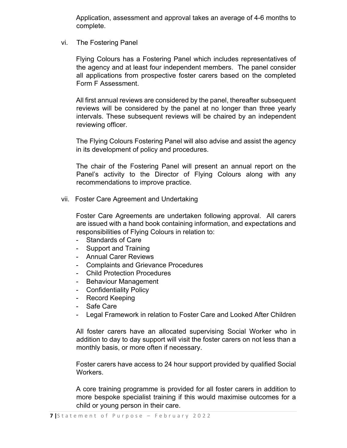Application, assessment and approval takes an average of 4-6 months to complete.

vi. The Fostering Panel

Flying Colours has a Fostering Panel which includes representatives of the agency and at least four independent members. The panel consider all applications from prospective foster carers based on the completed Form F Assessment.

All first annual reviews are considered by the panel, thereafter subsequent reviews will be considered by the panel at no longer than three yearly intervals. These subsequent reviews will be chaired by an independent reviewing officer.

The Flying Colours Fostering Panel will also advise and assist the agency in its development of policy and procedures.

The chair of the Fostering Panel will present an annual report on the Panel's activity to the Director of Flying Colours along with any recommendations to improve practice.

vii. Foster Care Agreement and Undertaking

Foster Care Agreements are undertaken following approval. All carers are issued with a hand book containing information, and expectations and responsibilities of Flying Colours in relation to:

- Standards of Care
- Support and Training
- Annual Carer Reviews
- Complaints and Grievance Procedures
- Child Protection Procedures
- Behaviour Management
- Confidentiality Policy
- Record Keeping
- Safe Care
- Legal Framework in relation to Foster Care and Looked After Children

All foster carers have an allocated supervising Social Worker who in addition to day to day support will visit the foster carers on not less than a monthly basis, or more often if necessary.

Foster carers have access to 24 hour support provided by qualified Social Workers.

A core training programme is provided for all foster carers in addition to more bespoke specialist training if this would maximise outcomes for a child or young person in their care.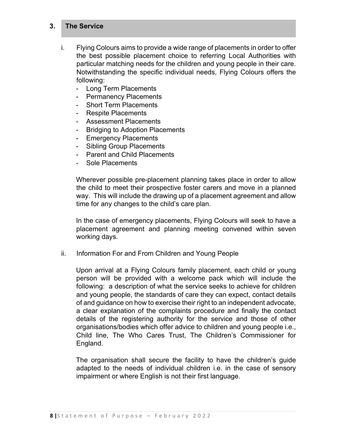#### **3. The Service**

- i. Flying Colours aims to provide a wide range of placements in order to offer the best possible placement choice to referring Local Authorities with particular matching needs for the children and young people in their care. Notwithstanding the specific individual needs, Flying Colours offers the following:
	- Long Term Placements
	- Permanency Placements
	- Short Term Placements
	- Respite Placements
	- Assessment Placements
	- Bridging to Adoption Placements
	- Emergency Placements
	- Sibling Group Placements
	- Parent and Child Placements
	- Sole Placements

Wherever possible pre-placement planning takes place in order to allow the child to meet their prospective foster carers and move in a planned way. This will include the drawing up of a placement agreement and allow time for any changes to the child's care plan.

In the case of emergency placements, Flying Colours will seek to have a placement agreement and planning meeting convened within seven working days.

ii. Information For and From Children and Young People

Upon arrival at a Flying Colours family placement, each child or young person will be provided with a welcome pack which will include the following: a description of what the service seeks to achieve for children and young people, the standards of care they can expect, contact details of and guidance on how to exercise their right to an independent advocate, a clear explanation of the complaints procedure and finally the contact details of the registering authority for the service and those of other organisations/bodies which offer advice to children and young people i.e., Child line, The Who Cares Trust, The Children's Commissioner for England.

The organisation shall secure the facility to have the children's guide adapted to the needs of individual children i.e. in the case of sensory impairment or where English is not their first language.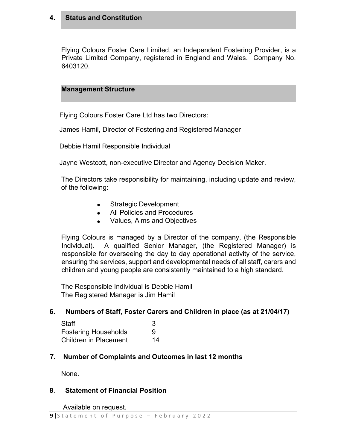#### **4. Status and Constitution**

Flying Colours Foster Care Limited, an Independent Fostering Provider, is a Private Limited Company, registered in England and Wales. Company No. 6403120.

### **Management Structure**

Flying Colours Foster Care Ltd has two Directors:

James Hamil, Director of Fostering and Registered Manager

Debbie Hamil Responsible Individual

Jayne Westcott, non-executive Director and Agency Decision Maker.

The Directors take responsibility for maintaining, including update and review, of the following:

- Strategic Development
- All Policies and Procedures
- Values, Aims and Objectives

Flying Colours is managed by a Director of the company, (the Responsible Individual). A qualified Senior Manager, (the Registered Manager) is responsible for overseeing the day to day operational activity of the service, ensuring the services, support and developmental needs of all staff, carers and children and young people are consistently maintained to a high standard.

The Responsible Individual is Debbie Hamil The Registered Manager is Jim Hamil

### **6. Numbers of Staff, Foster Carers and Children in place (as at 21/04/17)**

| <b>Staff</b>                                                |    |
|-------------------------------------------------------------|----|
| <b>Fostering Households</b><br><b>Children in Placement</b> | 9  |
|                                                             | 14 |

## **7. Number of Complaints and Outcomes in last 12 months**

None.

### **8**. **Statement of Financial Position**

Available on request.